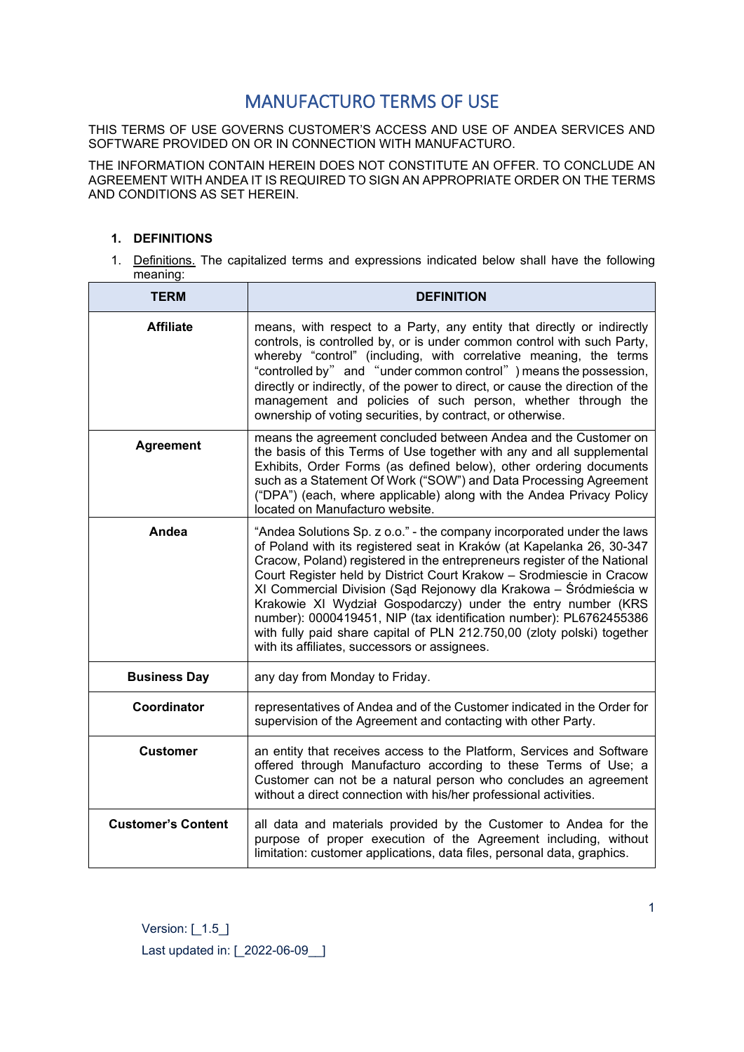# MANUFACTURO TERMS OF USE

THIS TERMS OF USE GOVERNS CUSTOMER'S ACCESS AND USE OF ANDEA SERVICES AND SOFTWARE PROVIDED ON OR IN CONNECTION WITH MANUFACTURO.

THE INFORMATION CONTAIN HEREIN DOES NOT CONSTITUTE AN OFFER. TO CONCLUDE AN AGREEMENT WITH ANDEA IT IS REQUIRED TO SIGN AN APPROPRIATE ORDER ON THE TERMS AND CONDITIONS AS SET HEREIN.

# **1. DEFINITIONS**

1. Definitions. The capitalized terms and expressions indicated below shall have the following meaning:

| <b>TERM</b>               | <b>DEFINITION</b>                                                                                                                                                                                                                                                                                                                                                                                                                                                                                                                                                                                                                         |
|---------------------------|-------------------------------------------------------------------------------------------------------------------------------------------------------------------------------------------------------------------------------------------------------------------------------------------------------------------------------------------------------------------------------------------------------------------------------------------------------------------------------------------------------------------------------------------------------------------------------------------------------------------------------------------|
| <b>Affiliate</b>          | means, with respect to a Party, any entity that directly or indirectly<br>controls, is controlled by, or is under common control with such Party,<br>whereby "control" (including, with correlative meaning, the terms<br>"controlled by" and "under common control" ) means the possession,<br>directly or indirectly, of the power to direct, or cause the direction of the<br>management and policies of such person, whether through the<br>ownership of voting securities, by contract, or otherwise.                                                                                                                                |
| <b>Agreement</b>          | means the agreement concluded between Andea and the Customer on<br>the basis of this Terms of Use together with any and all supplemental<br>Exhibits, Order Forms (as defined below), other ordering documents<br>such as a Statement Of Work ("SOW") and Data Processing Agreement<br>("DPA") (each, where applicable) along with the Andea Privacy Policy<br>located on Manufacturo website.                                                                                                                                                                                                                                            |
| Andea                     | "Andea Solutions Sp. z o.o." - the company incorporated under the laws<br>of Poland with its registered seat in Kraków (at Kapelanka 26, 30-347<br>Cracow, Poland) registered in the entrepreneurs register of the National<br>Court Register held by District Court Krakow - Srodmiescie in Cracow<br>XI Commercial Division (Sad Rejonowy dla Krakowa – Śródmieścia w<br>Krakowie XI Wydział Gospodarczy) under the entry number (KRS<br>number): 0000419451, NIP (tax identification number): PL6762455386<br>with fully paid share capital of PLN 212.750,00 (zloty polski) together<br>with its affiliates, successors or assignees. |
| <b>Business Day</b>       | any day from Monday to Friday.                                                                                                                                                                                                                                                                                                                                                                                                                                                                                                                                                                                                            |
| Coordinator               | representatives of Andea and of the Customer indicated in the Order for<br>supervision of the Agreement and contacting with other Party.                                                                                                                                                                                                                                                                                                                                                                                                                                                                                                  |
| <b>Customer</b>           | an entity that receives access to the Platform, Services and Software<br>offered through Manufacturo according to these Terms of Use; a<br>Customer can not be a natural person who concludes an agreement<br>without a direct connection with his/her professional activities.                                                                                                                                                                                                                                                                                                                                                           |
| <b>Customer's Content</b> | all data and materials provided by the Customer to Andea for the<br>purpose of proper execution of the Agreement including, without<br>limitation: customer applications, data files, personal data, graphics.                                                                                                                                                                                                                                                                                                                                                                                                                            |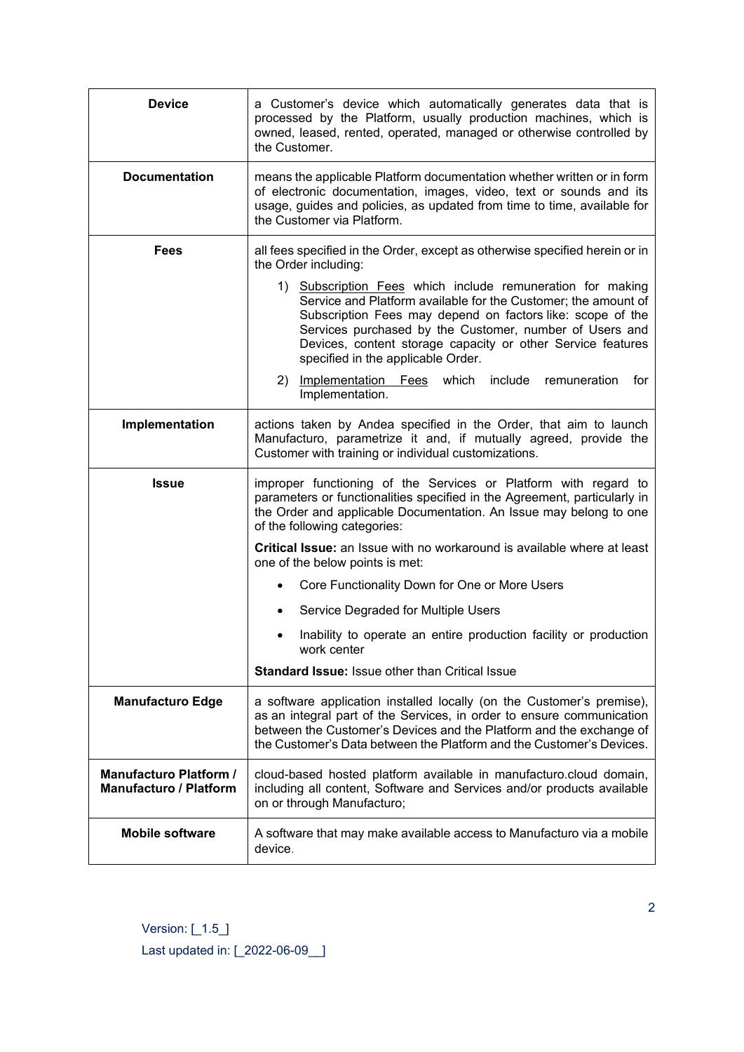| <b>Device</b>                                                  | a Customer's device which automatically generates data that is<br>processed by the Platform, usually production machines, which is<br>owned, leased, rented, operated, managed or otherwise controlled by<br>the Customer.                                                                                                                                 |
|----------------------------------------------------------------|------------------------------------------------------------------------------------------------------------------------------------------------------------------------------------------------------------------------------------------------------------------------------------------------------------------------------------------------------------|
| <b>Documentation</b>                                           | means the applicable Platform documentation whether written or in form<br>of electronic documentation, images, video, text or sounds and its<br>usage, guides and policies, as updated from time to time, available for<br>the Customer via Platform.                                                                                                      |
| Fees                                                           | all fees specified in the Order, except as otherwise specified herein or in<br>the Order including:                                                                                                                                                                                                                                                        |
|                                                                | 1) Subscription Fees which include remuneration for making<br>Service and Platform available for the Customer; the amount of<br>Subscription Fees may depend on factors like: scope of the<br>Services purchased by the Customer, number of Users and<br>Devices, content storage capacity or other Service features<br>specified in the applicable Order. |
|                                                                | 2) Implementation Fees<br>which include<br>for<br>remuneration<br>Implementation.                                                                                                                                                                                                                                                                          |
| Implementation                                                 | actions taken by Andea specified in the Order, that aim to launch<br>Manufacturo, parametrize it and, if mutually agreed, provide the<br>Customer with training or individual customizations.                                                                                                                                                              |
| <b>Issue</b>                                                   | improper functioning of the Services or Platform with regard to<br>parameters or functionalities specified in the Agreement, particularly in<br>the Order and applicable Documentation. An Issue may belong to one<br>of the following categories:                                                                                                         |
|                                                                | Critical Issue: an Issue with no workaround is available where at least<br>one of the below points is met:                                                                                                                                                                                                                                                 |
|                                                                | Core Functionality Down for One or More Users                                                                                                                                                                                                                                                                                                              |
|                                                                | Service Degraded for Multiple Users                                                                                                                                                                                                                                                                                                                        |
|                                                                | Inability to operate an entire production facility or production<br>work center                                                                                                                                                                                                                                                                            |
|                                                                | <b>Standard Issue: Issue other than Critical Issue</b>                                                                                                                                                                                                                                                                                                     |
| <b>Manufacturo Edge</b>                                        | a software application installed locally (on the Customer's premise),<br>as an integral part of the Services, in order to ensure communication<br>between the Customer's Devices and the Platform and the exchange of<br>the Customer's Data between the Platform and the Customer's Devices.                                                              |
| <b>Manufacturo Platform /</b><br><b>Manufacturo / Platform</b> | cloud-based hosted platform available in manufacturo.cloud domain,<br>including all content, Software and Services and/or products available<br>on or through Manufacturo;                                                                                                                                                                                 |
| <b>Mobile software</b>                                         | A software that may make available access to Manufacturo via a mobile<br>device.                                                                                                                                                                                                                                                                           |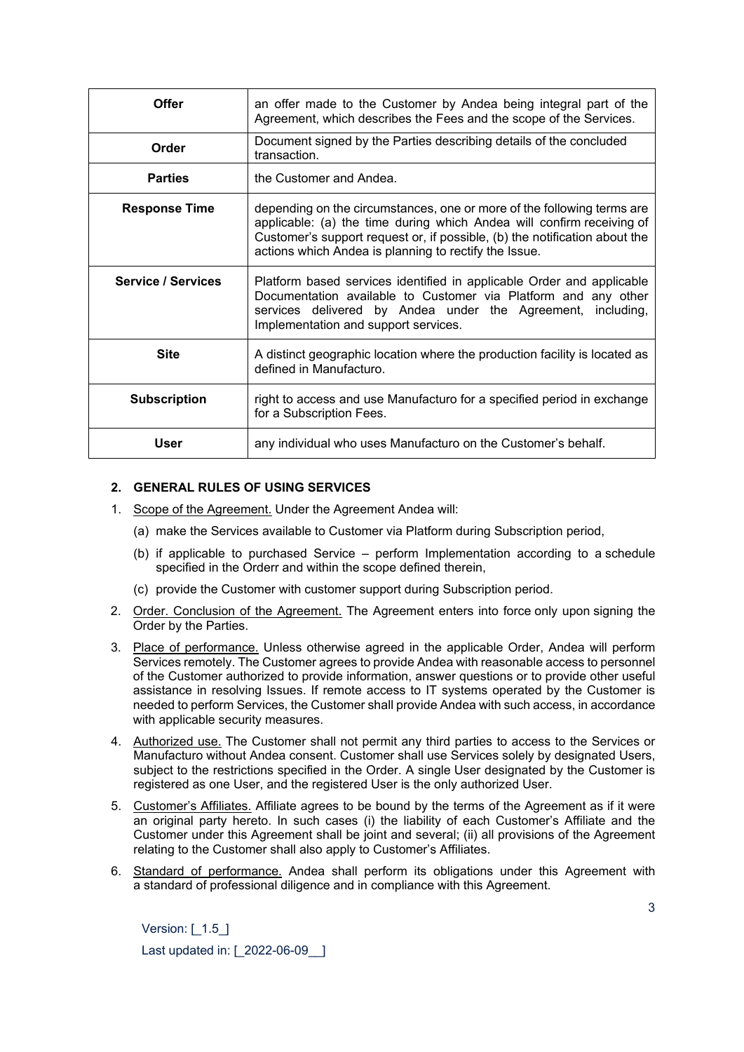| Offer                     | an offer made to the Customer by Andea being integral part of the<br>Agreement, which describes the Fees and the scope of the Services.                                                                                                                                                |
|---------------------------|----------------------------------------------------------------------------------------------------------------------------------------------------------------------------------------------------------------------------------------------------------------------------------------|
| Order                     | Document signed by the Parties describing details of the concluded<br>transaction.                                                                                                                                                                                                     |
| <b>Parties</b>            | the Customer and Andea.                                                                                                                                                                                                                                                                |
| <b>Response Time</b>      | depending on the circumstances, one or more of the following terms are<br>applicable: (a) the time during which Andea will confirm receiving of<br>Customer's support request or, if possible, (b) the notification about the<br>actions which Andea is planning to rectify the Issue. |
| <b>Service / Services</b> | Platform based services identified in applicable Order and applicable<br>Documentation available to Customer via Platform and any other<br>services delivered by Andea under the Agreement, including,<br>Implementation and support services.                                         |
| <b>Site</b>               | A distinct geographic location where the production facility is located as<br>defined in Manufacturo.                                                                                                                                                                                  |
| <b>Subscription</b>       | right to access and use Manufacturo for a specified period in exchange<br>for a Subscription Fees.                                                                                                                                                                                     |
| User                      | any individual who uses Manufacturo on the Customer's behalf.                                                                                                                                                                                                                          |

## **2. GENERAL RULES OF USING SERVICES**

- 1. Scope of the Agreement. Under the Agreement Andea will:
	- (a) make the Services available to Customer via Platform during Subscription period,
	- (b) if applicable to purchased Service perform Implementation according to a schedule specified in the Orderr and within the scope defined therein,
	- (c) provide the Customer with customer support during Subscription period.
- 2. Order. Conclusion of the Agreement. The Agreement enters into force only upon signing the Order by the Parties.
- 3. Place of performance. Unless otherwise agreed in the applicable Order, Andea will perform Services remotely. The Customer agrees to provide Andea with reasonable access to personnel of the Customer authorized to provide information, answer questions or to provide other useful assistance in resolving Issues. If remote access to IT systems operated by the Customer is needed to perform Services, the Customer shall provide Andea with such access, in accordance with applicable security measures.
- 4. Authorized use. The Customer shall not permit any third parties to access to the Services or Manufacturo without Andea consent. Customer shall use Services solely by designated Users, subject to the restrictions specified in the Order. A single User designated by the Customer is registered as one User, and the registered User is the only authorized User.
- 5. Customer's Affiliates. Affiliate agrees to be bound by the terms of the Agreement as if it were an original party hereto. In such cases (i) the liability of each Customer's Affiliate and the Customer under this Agreement shall be joint and several; (ii) all provisions of the Agreement relating to the Customer shall also apply to Customer's Affiliates.
- 6. Standard of performance. Andea shall perform its obligations under this Agreement with a standard of professional diligence and in compliance with this Agreement.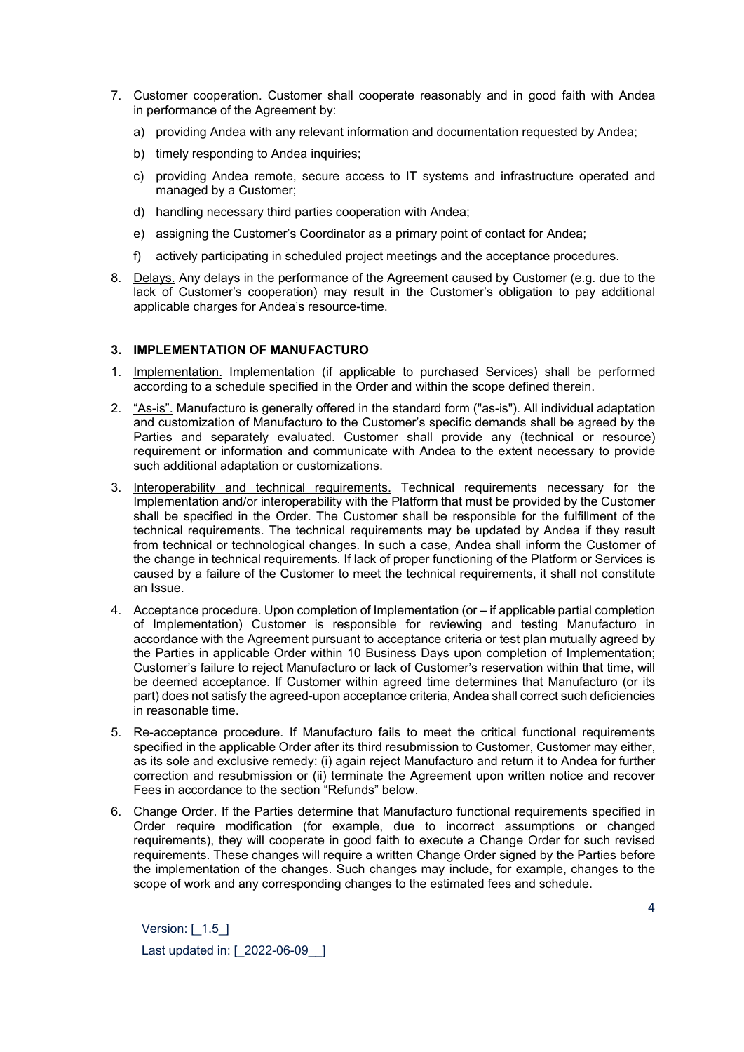- 7. Customer cooperation. Customer shall cooperate reasonably and in good faith with Andea in performance of the Agreement by:
	- a) providing Andea with any relevant information and documentation requested by Andea;
	- b) timely responding to Andea inquiries;
	- c) providing Andea remote, secure access to IT systems and infrastructure operated and managed by a Customer;
	- d) handling necessary third parties cooperation with Andea;
	- e) assigning the Customer's Coordinator as a primary point of contact for Andea;
	- f) actively participating in scheduled project meetings and the acceptance procedures.
- 8. Delays. Any delays in the performance of the Agreement caused by Customer (e.g. due to the lack of Customer's cooperation) may result in the Customer's obligation to pay additional applicable charges for Andea's resource-time.

# **3. IMPLEMENTATION OF MANUFACTURO**

- 1. Implementation. Implementation (if applicable to purchased Services) shall be performed according to a schedule specified in the Order and within the scope defined therein.
- 2. "As-is". Manufacturo is generally offered in the standard form ("as-is"). All individual adaptation and customization of Manufacturo to the Customer's specific demands shall be agreed by the Parties and separately evaluated. Customer shall provide any (technical or resource) requirement or information and communicate with Andea to the extent necessary to provide such additional adaptation or customizations.
- 3. Interoperability and technical requirements. Technical requirements necessary for the Implementation and/or interoperability with the Platform that must be provided by the Customer shall be specified in the Order. The Customer shall be responsible for the fulfillment of the technical requirements. The technical requirements may be updated by Andea if they result from technical or technological changes. In such a case, Andea shall inform the Customer of the change in technical requirements. If lack of proper functioning of the Platform or Services is caused by a failure of the Customer to meet the technical requirements, it shall not constitute an Issue.
- 4. Acceptance procedure. Upon completion of Implementation (or if applicable partial completion of Implementation) Customer is responsible for reviewing and testing Manufacturo in accordance with the Agreement pursuant to acceptance criteria or test plan mutually agreed by the Parties in applicable Order within 10 Business Days upon completion of Implementation; Customer's failure to reject Manufacturo or lack of Customer's reservation within that time, will be deemed acceptance. If Customer within agreed time determines that Manufacturo (or its part) does not satisfy the agreed-upon acceptance criteria, Andea shall correct such deficiencies in reasonable time.
- 5. Re-acceptance procedure. If Manufacturo fails to meet the critical functional requirements specified in the applicable Order after its third resubmission to Customer, Customer may either, as its sole and exclusive remedy: (i) again reject Manufacturo and return it to Andea for further correction and resubmission or (ii) terminate the Agreement upon written notice and recover Fees in accordance to the section "Refunds" below.
- 6. Change Order. If the Parties determine that Manufacturo functional requirements specified in Order require modification (for example, due to incorrect assumptions or changed requirements), they will cooperate in good faith to execute a Change Order for such revised requirements. These changes will require a written Change Order signed by the Parties before the implementation of the changes. Such changes may include, for example, changes to the scope of work and any corresponding changes to the estimated fees and schedule.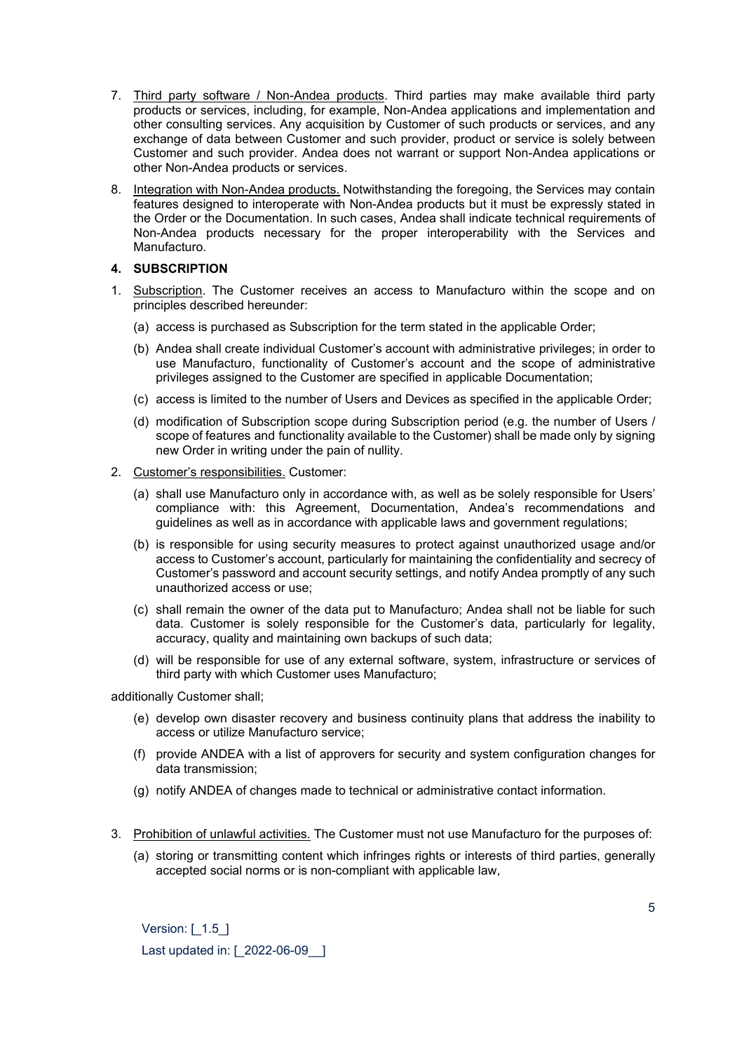- 7. Third party software / Non-Andea products. Third parties may make available third party products or services, including, for example, Non-Andea applications and implementation and other consulting services. Any acquisition by Customer of such products or services, and any exchange of data between Customer and such provider, product or service is solely between Customer and such provider. Andea does not warrant or support Non-Andea applications or other Non-Andea products or services.
- 8. Integration with Non-Andea products. Notwithstanding the foregoing, the Services may contain features designed to interoperate with Non-Andea products but it must be expressly stated in the Order or the Documentation. In such cases, Andea shall indicate technical requirements of Non-Andea products necessary for the proper interoperability with the Services and Manufacturo.

# **4. SUBSCRIPTION**

- 1. Subscription. The Customer receives an access to Manufacturo within the scope and on principles described hereunder:
	- (a) access is purchased as Subscription for the term stated in the applicable Order;
	- (b) Andea shall create individual Customer's account with administrative privileges; in order to use Manufacturo, functionality of Customer's account and the scope of administrative privileges assigned to the Customer are specified in applicable Documentation;
	- (c) access is limited to the number of Users and Devices as specified in the applicable Order;
	- (d) modification of Subscription scope during Subscription period (e.g. the number of Users / scope of features and functionality available to the Customer) shall be made only by signing new Order in writing under the pain of nullity.
- 2. Customer's responsibilities. Customer:
	- (a) shall use Manufacturo only in accordance with, as well as be solely responsible for Users' compliance with: this Agreement, Documentation, Andea's recommendations and guidelines as well as in accordance with applicable laws and government regulations;
	- (b) is responsible for using security measures to protect against unauthorized usage and/or access to Customer's account, particularly for maintaining the confidentiality and secrecy of Customer's password and account security settings, and notify Andea promptly of any such unauthorized access or use;
	- (c) shall remain the owner of the data put to Manufacturo; Andea shall not be liable for such data. Customer is solely responsible for the Customer's data, particularly for legality, accuracy, quality and maintaining own backups of such data;
	- (d) will be responsible for use of any external software, system, infrastructure or services of third party with which Customer uses Manufacturo;

additionally Customer shall;

- (e) develop own disaster recovery and business continuity plans that address the inability to access or utilize Manufacturo service;
- (f) provide ANDEA with a list of approvers for security and system configuration changes for data transmission;
- (g) notify ANDEA of changes made to technical or administrative contact information.
- 3. Prohibition of unlawful activities. The Customer must not use Manufacturo for the purposes of:
	- (a) storing or transmitting content which infringes rights or interests of third parties, generally accepted social norms or is non-compliant with applicable law,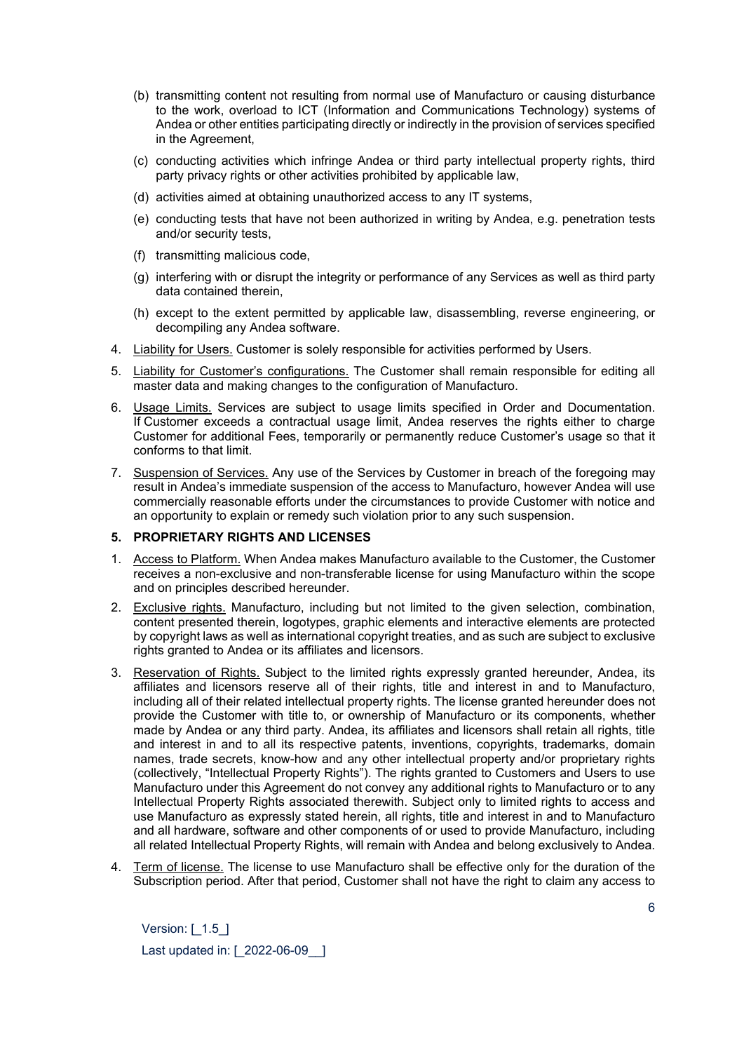- (b) transmitting content not resulting from normal use of Manufacturo or causing disturbance to the work, overload to ICT (Information and Communications Technology) systems of Andea or other entities participating directly or indirectly in the provision of services specified in the Agreement,
- (c) conducting activities which infringe Andea or third party intellectual property rights, third party privacy rights or other activities prohibited by applicable law,
- (d) activities aimed at obtaining unauthorized access to any IT systems,
- (e) conducting tests that have not been authorized in writing by Andea, e.g. penetration tests and/or security tests,
- (f) transmitting malicious code,
- (g) interfering with or disrupt the integrity or performance of any Services as well as third party data contained therein,
- (h) except to the extent permitted by applicable law, disassembling, reverse engineering, or decompiling any Andea software.
- 4. Liability for Users. Customer is solely responsible for activities performed by Users.
- 5. Liability for Customer's configurations. The Customer shall remain responsible for editing all master data and making changes to the configuration of Manufacturo.
- 6. Usage Limits. Services are subject to usage limits specified in Order and Documentation. If Customer exceeds a contractual usage limit, Andea reserves the rights either to charge Customer for additional Fees, temporarily or permanently reduce Customer's usage so that it conforms to that limit.
- 7. Suspension of Services. Any use of the Services by Customer in breach of the foregoing may result in Andea's immediate suspension of the access to Manufacturo, however Andea will use commercially reasonable efforts under the circumstances to provide Customer with notice and an opportunity to explain or remedy such violation prior to any such suspension.

## **5. PROPRIETARY RIGHTS AND LICENSES**

- 1. Access to Platform. When Andea makes Manufacturo available to the Customer, the Customer receives a non-exclusive and non-transferable license for using Manufacturo within the scope and on principles described hereunder.
- 2. Exclusive rights. Manufacturo, including but not limited to the given selection, combination, content presented therein, logotypes, graphic elements and interactive elements are protected by copyright laws as well as international copyright treaties, and as such are subject to exclusive rights granted to Andea or its affiliates and licensors.
- 3. Reservation of Rights. Subject to the limited rights expressly granted hereunder, Andea, its affiliates and licensors reserve all of their rights, title and interest in and to Manufacturo, including all of their related intellectual property rights. The license granted hereunder does not provide the Customer with title to, or ownership of Manufacturo or its components, whether made by Andea or any third party. Andea, its affiliates and licensors shall retain all rights, title and interest in and to all its respective patents, inventions, copyrights, trademarks, domain names, trade secrets, know-how and any other intellectual property and/or proprietary rights (collectively, "Intellectual Property Rights"). The rights granted to Customers and Users to use Manufacturo under this Agreement do not convey any additional rights to Manufacturo or to any Intellectual Property Rights associated therewith. Subject only to limited rights to access and use Manufacturo as expressly stated herein, all rights, title and interest in and to Manufacturo and all hardware, software and other components of or used to provide Manufacturo, including all related Intellectual Property Rights, will remain with Andea and belong exclusively to Andea.
- 4. Term of license. The license to use Manufacturo shall be effective only for the duration of the Subscription period. After that period, Customer shall not have the right to claim any access to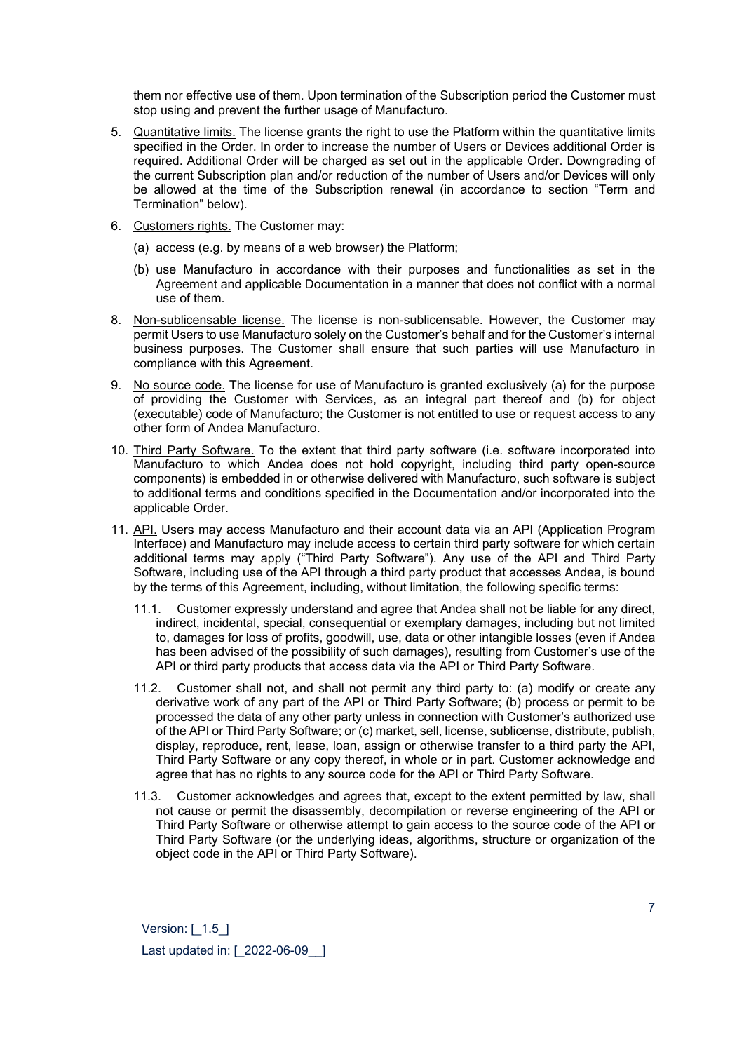them nor effective use of them. Upon termination of the Subscription period the Customer must stop using and prevent the further usage of Manufacturo.

- 5. Quantitative limits. The license grants the right to use the Platform within the quantitative limits specified in the Order. In order to increase the number of Users or Devices additional Order is required. Additional Order will be charged as set out in the applicable Order. Downgrading of the current Subscription plan and/or reduction of the number of Users and/or Devices will only be allowed at the time of the Subscription renewal (in accordance to section "Term and Termination" below).
- 6. Customers rights. The Customer may:
	- (a) access (e.g. by means of a web browser) the Platform;
	- (b) use Manufacturo in accordance with their purposes and functionalities as set in the Agreement and applicable Documentation in a manner that does not conflict with a normal use of them.
- 8. Non-sublicensable license. The license is non-sublicensable. However, the Customer may permit Users to use Manufacturo solely on the Customer's behalf and for the Customer's internal business purposes. The Customer shall ensure that such parties will use Manufacturo in compliance with this Agreement.
- 9. No source code. The license for use of Manufacturo is granted exclusively (a) for the purpose of providing the Customer with Services, as an integral part thereof and (b) for object (executable) code of Manufacturo; the Customer is not entitled to use or request access to any other form of Andea Manufacturo.
- 10. Third Party Software. To the extent that third party software (i.e. software incorporated into Manufacturo to which Andea does not hold copyright, including third party open-source components) is embedded in or otherwise delivered with Manufacturo, such software is subject to additional terms and conditions specified in the Documentation and/or incorporated into the applicable Order.
- 11. API. Users may access Manufacturo and their account data via an API (Application Program Interface) and Manufacturo may include access to certain third party software for which certain additional terms may apply ("Third Party Software"). Any use of the API and Third Party Software, including use of the API through a third party product that accesses Andea, is bound by the terms of this Agreement, including, without limitation, the following specific terms:
	- 11.1. Customer expressly understand and agree that Andea shall not be liable for any direct, indirect, incidental, special, consequential or exemplary damages, including but not limited to, damages for loss of profits, goodwill, use, data or other intangible losses (even if Andea has been advised of the possibility of such damages), resulting from Customer's use of the API or third party products that access data via the API or Third Party Software.
	- 11.2. Customer shall not, and shall not permit any third party to: (a) modify or create any derivative work of any part of the API or Third Party Software; (b) process or permit to be processed the data of any other party unless in connection with Customer's authorized use of the API or Third Party Software; or (c) market, sell, license, sublicense, distribute, publish, display, reproduce, rent, lease, loan, assign or otherwise transfer to a third party the API, Third Party Software or any copy thereof, in whole or in part. Customer acknowledge and agree that has no rights to any source code for the API or Third Party Software.
	- 11.3. Customer acknowledges and agrees that, except to the extent permitted by law, shall not cause or permit the disassembly, decompilation or reverse engineering of the API or Third Party Software or otherwise attempt to gain access to the source code of the API or Third Party Software (or the underlying ideas, algorithms, structure or organization of the object code in the API or Third Party Software).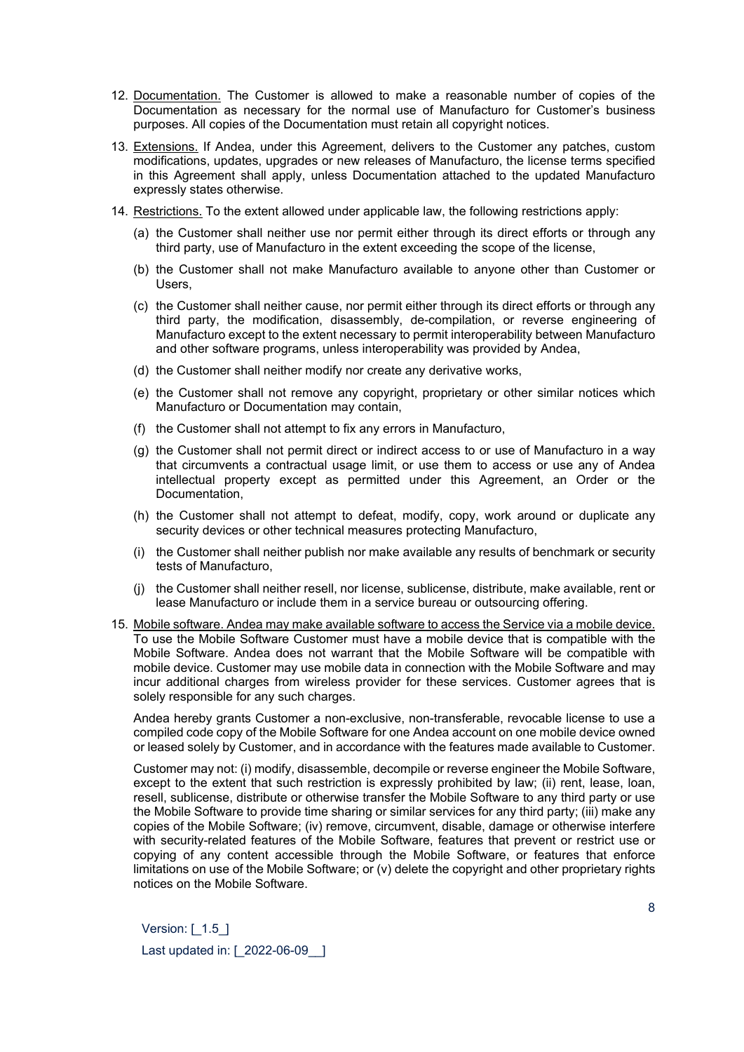- 12. Documentation. The Customer is allowed to make a reasonable number of copies of the Documentation as necessary for the normal use of Manufacturo for Customer's business purposes. All copies of the Documentation must retain all copyright notices.
- 13. Extensions. If Andea, under this Agreement, delivers to the Customer any patches, custom modifications, updates, upgrades or new releases of Manufacturo, the license terms specified in this Agreement shall apply, unless Documentation attached to the updated Manufacturo expressly states otherwise.
- 14. Restrictions. To the extent allowed under applicable law, the following restrictions apply:
	- (a) the Customer shall neither use nor permit either through its direct efforts or through any third party, use of Manufacturo in the extent exceeding the scope of the license,
	- (b) the Customer shall not make Manufacturo available to anyone other than Customer or Users,
	- (c) the Customer shall neither cause, nor permit either through its direct efforts or through any third party, the modification, disassembly, de-compilation, or reverse engineering of Manufacturo except to the extent necessary to permit interoperability between Manufacturo and other software programs, unless interoperability was provided by Andea,
	- (d) the Customer shall neither modify nor create any derivative works,
	- (e) the Customer shall not remove any copyright, proprietary or other similar notices which Manufacturo or Documentation may contain,
	- (f) the Customer shall not attempt to fix any errors in Manufacturo,
	- (g) the Customer shall not permit direct or indirect access to or use of Manufacturo in a way that circumvents a contractual usage limit, or use them to access or use any of Andea intellectual property except as permitted under this Agreement, an Order or the Documentation,
	- (h) the Customer shall not attempt to defeat, modify, copy, work around or duplicate any security devices or other technical measures protecting Manufacturo,
	- (i) the Customer shall neither publish nor make available any results of benchmark or security tests of Manufacturo,
	- (j) the Customer shall neither resell, nor license, sublicense, distribute, make available, rent or lease Manufacturo or include them in a service bureau or outsourcing offering.
- 15. Mobile software. Andea may make available software to access the Service via a mobile device. To use the Mobile Software Customer must have a mobile device that is compatible with the Mobile Software. Andea does not warrant that the Mobile Software will be compatible with mobile device. Customer may use mobile data in connection with the Mobile Software and may incur additional charges from wireless provider for these services. Customer agrees that is solely responsible for any such charges.

Andea hereby grants Customer a non-exclusive, non-transferable, revocable license to use a compiled code copy of the Mobile Software for one Andea account on one mobile device owned or leased solely by Customer, and in accordance with the features made available to Customer.

Customer may not: (i) modify, disassemble, decompile or reverse engineer the Mobile Software, except to the extent that such restriction is expressly prohibited by law; (ii) rent, lease, loan, resell, sublicense, distribute or otherwise transfer the Mobile Software to any third party or use the Mobile Software to provide time sharing or similar services for any third party; (iii) make any copies of the Mobile Software; (iv) remove, circumvent, disable, damage or otherwise interfere with security-related features of the Mobile Software, features that prevent or restrict use or copying of any content accessible through the Mobile Software, or features that enforce limitations on use of the Mobile Software; or (v) delete the copyright and other proprietary rights notices on the Mobile Software.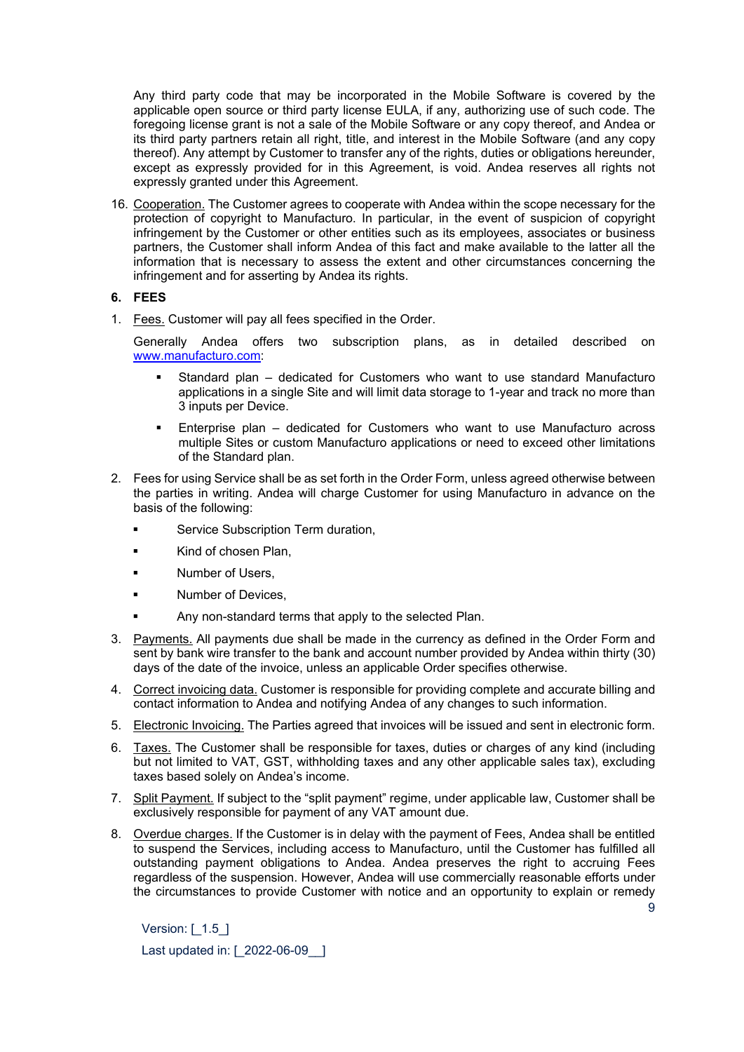Any third party code that may be incorporated in the Mobile Software is covered by the applicable open source or third party license EULA, if any, authorizing use of such code. The foregoing license grant is not a sale of the Mobile Software or any copy thereof, and Andea or its third party partners retain all right, title, and interest in the Mobile Software (and any copy thereof). Any attempt by Customer to transfer any of the rights, duties or obligations hereunder, except as expressly provided for in this Agreement, is void. Andea reserves all rights not expressly granted under this Agreement.

16. Cooperation. The Customer agrees to cooperate with Andea within the scope necessary for the protection of copyright to Manufacturo. In particular, in the event of suspicion of copyright infringement by the Customer or other entities such as its employees, associates or business partners, the Customer shall inform Andea of this fact and make available to the latter all the information that is necessary to assess the extent and other circumstances concerning the infringement and for asserting by Andea its rights.

#### **6. FEES**

1. Fees. Customer will pay all fees specified in the Order.

Generally Andea offers two subscription plans, as in detailed described on [www.manufacturo.com:](http://www.manufacturo.com/)

- Standard plan dedicated for Customers who want to use standard Manufacturo applications in a single Site and will limit data storage to 1-year and track no more than 3 inputs per Device.
- Enterprise plan dedicated for Customers who want to use Manufacturo across multiple Sites or custom Manufacturo applications or need to exceed other limitations of the Standard plan.
- 2. Fees for using Service shall be as set forth in the Order Form, unless agreed otherwise between the parties in writing. Andea will charge Customer for using Manufacturo in advance on the basis of the following:
	- Service Subscription Term duration,
	- Kind of chosen Plan,
	- Number of Users,
	- **Number of Devices,**
	- Any non-standard terms that apply to the selected Plan.
- 3. Payments. All payments due shall be made in the currency as defined in the Order Form and sent by bank wire transfer to the bank and account number provided by Andea within thirty (30) days of the date of the invoice, unless an applicable Order specifies otherwise.
- 4. Correct invoicing data. Customer is responsible for providing complete and accurate billing and contact information to Andea and notifying Andea of any changes to such information.
- 5. Electronic Invoicing. The Parties agreed that invoices will be issued and sent in electronic form.
- 6. Taxes. The Customer shall be responsible for taxes, duties or charges of any kind (including but not limited to VAT, GST, withholding taxes and any other applicable sales tax), excluding taxes based solely on Andea's income.
- 7. Split Payment. If subject to the "split payment" regime, under applicable law, Customer shall be exclusively responsible for payment of any VAT amount due.
- 8. Overdue charges. If the Customer is in delay with the payment of Fees, Andea shall be entitled to suspend the Services, including access to Manufacturo, until the Customer has fulfilled all outstanding payment obligations to Andea. Andea preserves the right to accruing Fees regardless of the suspension. However, Andea will use commercially reasonable efforts under the circumstances to provide Customer with notice and an opportunity to explain or remedy

 $\alpha$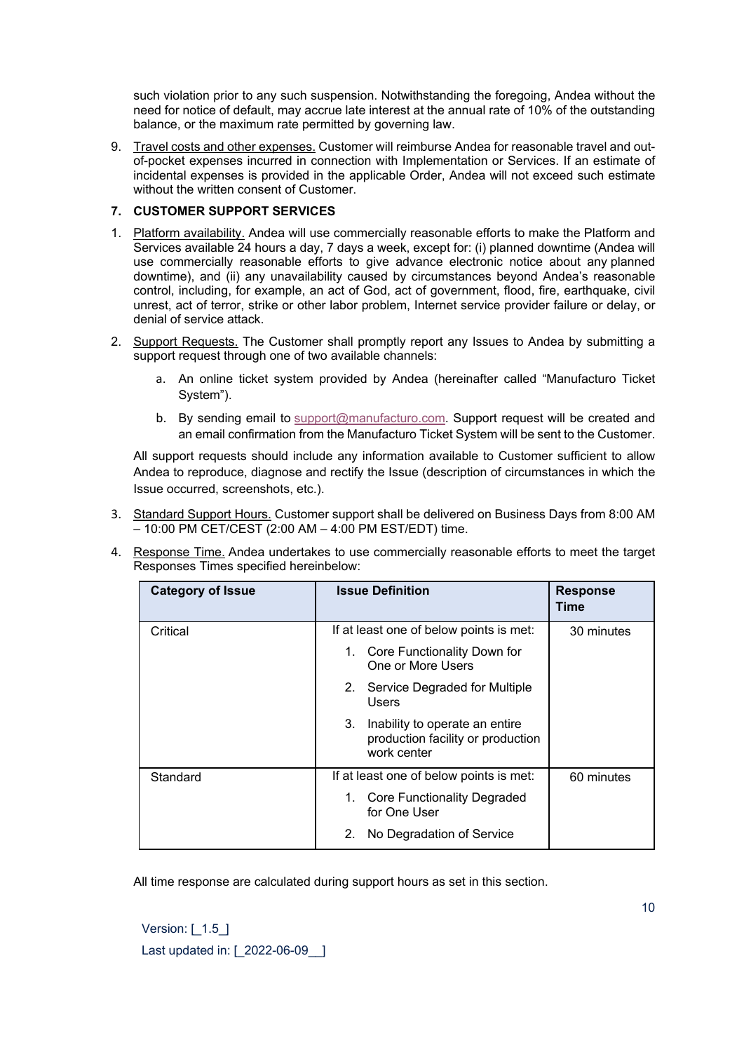such violation prior to any such suspension. Notwithstanding the foregoing, Andea without the need for notice of default, may accrue late interest at the annual rate of 10% of the outstanding balance, or the maximum rate permitted by governing law.

9. Travel costs and other expenses. Customer will reimburse Andea for reasonable travel and outof-pocket expenses incurred in connection with Implementation or Services. If an estimate of incidental expenses is provided in the applicable Order, Andea will not exceed such estimate without the written consent of Customer.

## **7. CUSTOMER SUPPORT SERVICES**

- 1. Platform availability. Andea will use commercially reasonable efforts to make the Platform and Services available 24 hours a day, 7 days a week, except for: (i) planned downtime (Andea will use commercially reasonable efforts to give advance electronic notice about any planned downtime), and (ii) any unavailability caused by circumstances beyond Andea's reasonable control, including, for example, an act of God, act of government, flood, fire, earthquake, civil unrest, act of terror, strike or other labor problem, Internet service provider failure or delay, or denial of service attack.
- 2. Support Requests. The Customer shall promptly report any Issues to Andea by submitting a support request through one of two available channels:
	- a. An online ticket system provided by Andea (hereinafter called "Manufacturo Ticket System").
	- b. By sending email to [support@manufacturo.com.](mailto:support@manufacturo.com) Support request will be created and an email confirmation from the Manufacturo Ticket System will be sent to the Customer.

All support requests should include any information available to Customer sufficient to allow Andea to reproduce, diagnose and rectify the Issue (description of circumstances in which the Issue occurred, screenshots, etc.).

- 3. Standard Support Hours. Customer support shall be delivered on Business Days from 8:00 AM – 10:00 PM CET/CEST (2:00 AM – 4:00 PM EST/EDT) time.
- 4. Response Time. Andea undertakes to use commercially reasonable efforts to meet the target Responses Times specified hereinbelow:

| <b>Category of Issue</b> | <b>Issue Definition</b>                                                                  | <b>Response</b><br>Time |
|--------------------------|------------------------------------------------------------------------------------------|-------------------------|
| Critical                 | If at least one of below points is met:                                                  | 30 minutes              |
|                          | 1. Core Functionality Down for<br>One or More Users                                      |                         |
|                          | 2.<br>Service Degraded for Multiple<br>Users                                             |                         |
|                          | 3.<br>Inability to operate an entire<br>production facility or production<br>work center |                         |
| Standard                 | If at least one of below points is met:                                                  | 60 minutes              |
|                          | <b>Core Functionality Degraded</b><br>1.<br>for One User                                 |                         |
|                          | No Degradation of Service<br>2.                                                          |                         |

All time response are calculated during support hours as set in this section.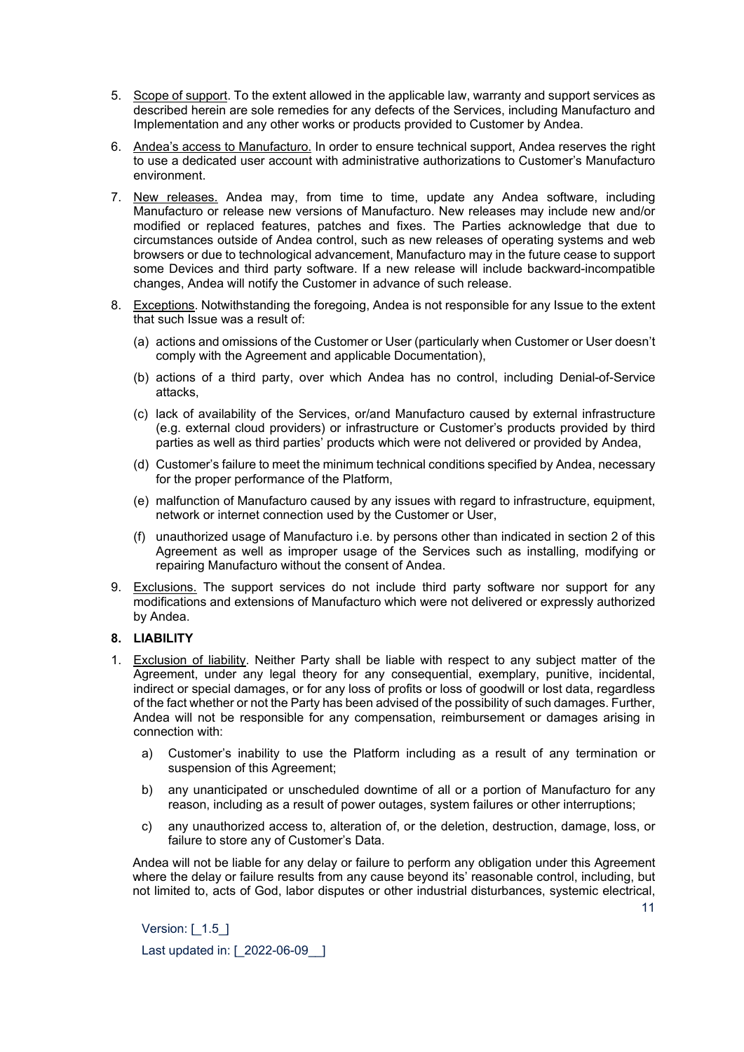- 5. Scope of support. To the extent allowed in the applicable law, warranty and support services as described herein are sole remedies for any defects of the Services, including Manufacturo and Implementation and any other works or products provided to Customer by Andea.
- 6. Andea's access to Manufacturo. In order to ensure technical support, Andea reserves the right to use a dedicated user account with administrative authorizations to Customer's Manufacturo environment.
- 7. New releases. Andea may, from time to time, update any Andea software, including Manufacturo or release new versions of Manufacturo. New releases may include new and/or modified or replaced features, patches and fixes. The Parties acknowledge that due to circumstances outside of Andea control, such as new releases of operating systems and web browsers or due to technological advancement, Manufacturo may in the future cease to support some Devices and third party software. If a new release will include backward-incompatible changes, Andea will notify the Customer in advance of such release.
- 8. Exceptions. Notwithstanding the foregoing, Andea is not responsible for any Issue to the extent that such Issue was a result of:
	- (a) actions and omissions of the Customer or User (particularly when Customer or User doesn't comply with the Agreement and applicable Documentation),
	- (b) actions of a third party, over which Andea has no control, including Denial-of-Service attacks,
	- (c) lack of availability of the Services, or/and Manufacturo caused by external infrastructure (e.g. external cloud providers) or infrastructure or Customer's products provided by third parties as well as third parties' products which were not delivered or provided by Andea,
	- (d) Customer's failure to meet the minimum technical conditions specified by Andea, necessary for the proper performance of the Platform,
	- (e) malfunction of Manufacturo caused by any issues with regard to infrastructure, equipment, network or internet connection used by the Customer or User,
	- (f) unauthorized usage of Manufacturo i.e. by persons other than indicated in section 2 of this Agreement as well as improper usage of the Services such as installing, modifying or repairing Manufacturo without the consent of Andea.
- 9. Exclusions. The support services do not include third party software nor support for any modifications and extensions of Manufacturo which were not delivered or expressly authorized by Andea.

## **8. LIABILITY**

- 1. Exclusion of liability. Neither Party shall be liable with respect to any subject matter of the Agreement, under any legal theory for any consequential, exemplary, punitive, incidental, indirect or special damages, or for any loss of profits or loss of goodwill or lost data, regardless of the fact whether or not the Party has been advised of the possibility of such damages. Further, Andea will not be responsible for any compensation, reimbursement or damages arising in connection with:
	- a) Customer's inability to use the Platform including as a result of any termination or suspension of this Agreement;
	- b) any unanticipated or unscheduled downtime of all or a portion of Manufacturo for any reason, including as a result of power outages, system failures or other interruptions;
	- c) any unauthorized access to, alteration of, or the deletion, destruction, damage, loss, or failure to store any of Customer's Data.

Andea will not be liable for any delay or failure to perform any obligation under this Agreement where the delay or failure results from any cause beyond its' reasonable control, including, but not limited to, acts of God, labor disputes or other industrial disturbances, systemic electrical,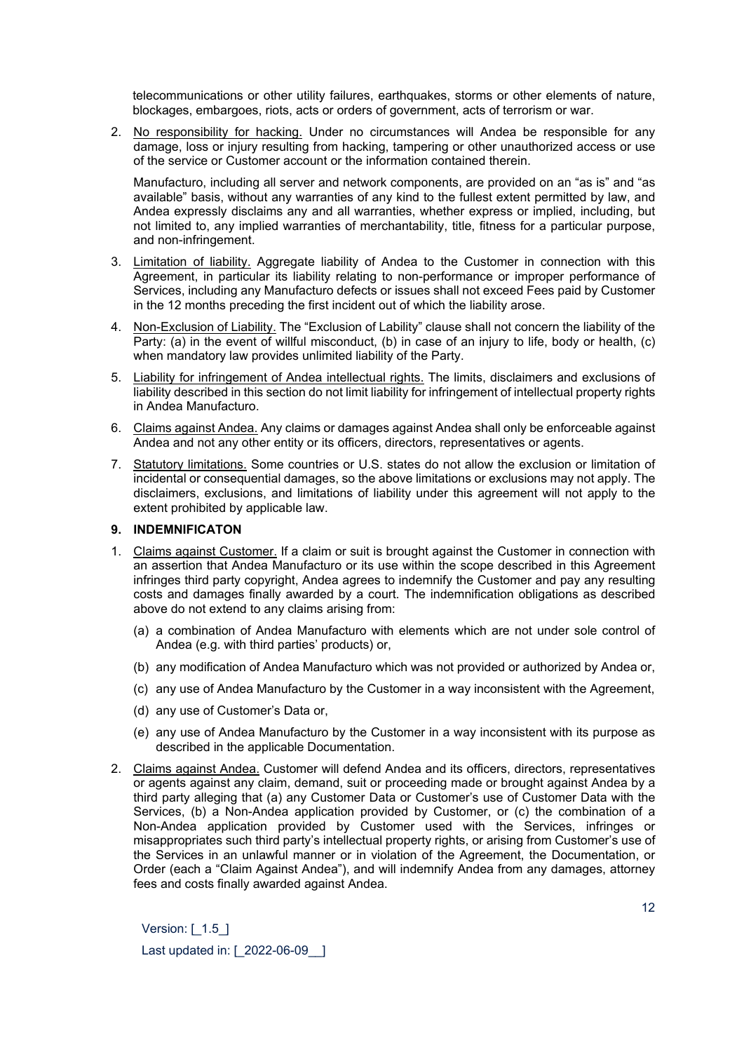telecommunications or other utility failures, earthquakes, storms or other elements of nature, blockages, embargoes, riots, acts or orders of government, acts of terrorism or war.

2. No responsibility for hacking. Under no circumstances will Andea be responsible for any damage, loss or injury resulting from hacking, tampering or other unauthorized access or use of the service or Customer account or the information contained therein.

Manufacturo, including all server and network components, are provided on an "as is" and "as available" basis, without any warranties of any kind to the fullest extent permitted by law, and Andea expressly disclaims any and all warranties, whether express or implied, including, but not limited to, any implied warranties of merchantability, title, fitness for a particular purpose, and non-infringement.

- 3. Limitation of liability. Aggregate liability of Andea to the Customer in connection with this Agreement, in particular its liability relating to non-performance or improper performance of Services, including any Manufacturo defects or issues shall not exceed Fees paid by Customer in the 12 months preceding the first incident out of which the liability arose.
- 4. Non-Exclusion of Liability. The "Exclusion of Lability" clause shall not concern the liability of the Party: (a) in the event of willful misconduct, (b) in case of an injury to life, body or health, (c) when mandatory law provides unlimited liability of the Party.
- 5. Liability for infringement of Andea intellectual rights. The limits, disclaimers and exclusions of liability described in this section do not limit liability for infringement of intellectual property rights in Andea Manufacturo.
- 6. Claims against Andea. Any claims or damages against Andea shall only be enforceable against Andea and not any other entity or its officers, directors, representatives or agents.
- 7. Statutory limitations. Some countries or U.S. states do not allow the exclusion or limitation of incidental or consequential damages, so the above limitations or exclusions may not apply. The disclaimers, exclusions, and limitations of liability under this agreement will not apply to the extent prohibited by applicable law.

## **9. INDEMNIFICATON**

- 1. Claims against Customer. If a claim or suit is brought against the Customer in connection with an assertion that Andea Manufacturo or its use within the scope described in this Agreement infringes third party copyright, Andea agrees to indemnify the Customer and pay any resulting costs and damages finally awarded by a court. The indemnification obligations as described above do not extend to any claims arising from:
	- (a) a combination of Andea Manufacturo with elements which are not under sole control of Andea (e.g. with third parties' products) or,
	- (b) any modification of Andea Manufacturo which was not provided or authorized by Andea or,
	- (c) any use of Andea Manufacturo by the Customer in a way inconsistent with the Agreement,
	- (d) any use of Customer's Data or,
	- (e) any use of Andea Manufacturo by the Customer in a way inconsistent with its purpose as described in the applicable Documentation.
- 2. Claims against Andea. Customer will defend Andea and its officers, directors, representatives or agents against any claim, demand, suit or proceeding made or brought against Andea by a third party alleging that (a) any Customer Data or Customer's use of Customer Data with the Services, (b) a Non-Andea application provided by Customer, or (c) the combination of a Non-Andea application provided by Customer used with the Services, infringes or misappropriates such third party's intellectual property rights, or arising from Customer's use of the Services in an unlawful manner or in violation of the Agreement, the Documentation, or Order (each a "Claim Against Andea"), and will indemnify Andea from any damages, attorney fees and costs finally awarded against Andea.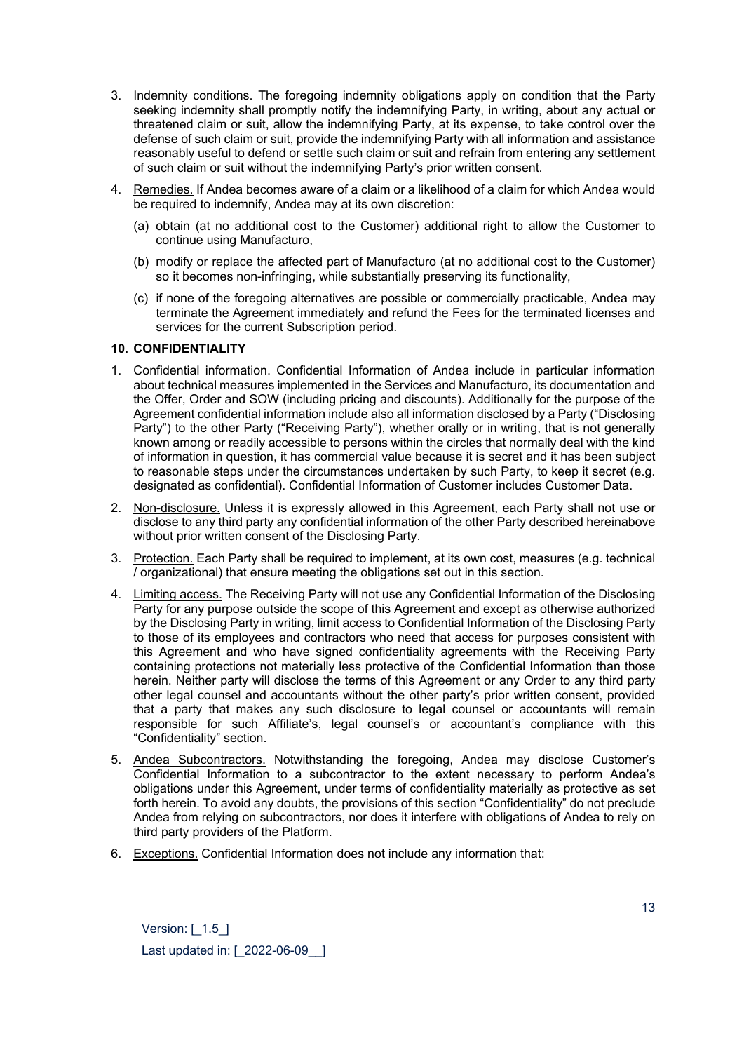- 3. Indemnity conditions. The foregoing indemnity obligations apply on condition that the Party seeking indemnity shall promptly notify the indemnifying Party, in writing, about any actual or threatened claim or suit, allow the indemnifying Party, at its expense, to take control over the defense of such claim or suit, provide the indemnifying Party with all information and assistance reasonably useful to defend or settle such claim or suit and refrain from entering any settlement of such claim or suit without the indemnifying Party's prior written consent.
- 4. Remedies. If Andea becomes aware of a claim or a likelihood of a claim for which Andea would be required to indemnify, Andea may at its own discretion:
	- (a) obtain (at no additional cost to the Customer) additional right to allow the Customer to continue using Manufacturo,
	- (b) modify or replace the affected part of Manufacturo (at no additional cost to the Customer) so it becomes non-infringing, while substantially preserving its functionality,
	- (c) if none of the foregoing alternatives are possible or commercially practicable, Andea may terminate the Agreement immediately and refund the Fees for the terminated licenses and services for the current Subscription period.

#### **10. CONFIDENTIALITY**

- 1. Confidential information. Confidential Information of Andea include in particular information about technical measures implemented in the Services and Manufacturo, its documentation and the Offer, Order and SOW (including pricing and discounts). Additionally for the purpose of the Agreement confidential information include also all information disclosed by a Party ("Disclosing Party") to the other Party ("Receiving Party"), whether orally or in writing, that is not generally known among or readily accessible to persons within the circles that normally deal with the kind of information in question, it has commercial value because it is secret and it has been subject to reasonable steps under the circumstances undertaken by such Party, to keep it secret (e.g. designated as confidential). Confidential Information of Customer includes Customer Data.
- 2. Non-disclosure. Unless it is expressly allowed in this Agreement, each Party shall not use or disclose to any third party any confidential information of the other Party described hereinabove without prior written consent of the Disclosing Party.
- 3. Protection. Each Party shall be required to implement, at its own cost, measures (e.g. technical / organizational) that ensure meeting the obligations set out in this section.
- 4. Limiting access. The Receiving Party will not use any Confidential Information of the Disclosing Party for any purpose outside the scope of this Agreement and except as otherwise authorized by the Disclosing Party in writing, limit access to Confidential Information of the Disclosing Party to those of its employees and contractors who need that access for purposes consistent with this Agreement and who have signed confidentiality agreements with the Receiving Party containing protections not materially less protective of the Confidential Information than those herein. Neither party will disclose the terms of this Agreement or any Order to any third party other legal counsel and accountants without the other party's prior written consent, provided that a party that makes any such disclosure to legal counsel or accountants will remain responsible for such Affiliate's, legal counsel's or accountant's compliance with this "Confidentiality" section.
- 5. Andea Subcontractors. Notwithstanding the foregoing, Andea may disclose Customer's Confidential Information to a subcontractor to the extent necessary to perform Andea's obligations under this Agreement, under terms of confidentiality materially as protective as set forth herein. To avoid any doubts, the provisions of this section "Confidentiality" do not preclude Andea from relying on subcontractors, nor does it interfere with obligations of Andea to rely on third party providers of the Platform.
- 6. Exceptions. Confidential Information does not include any information that: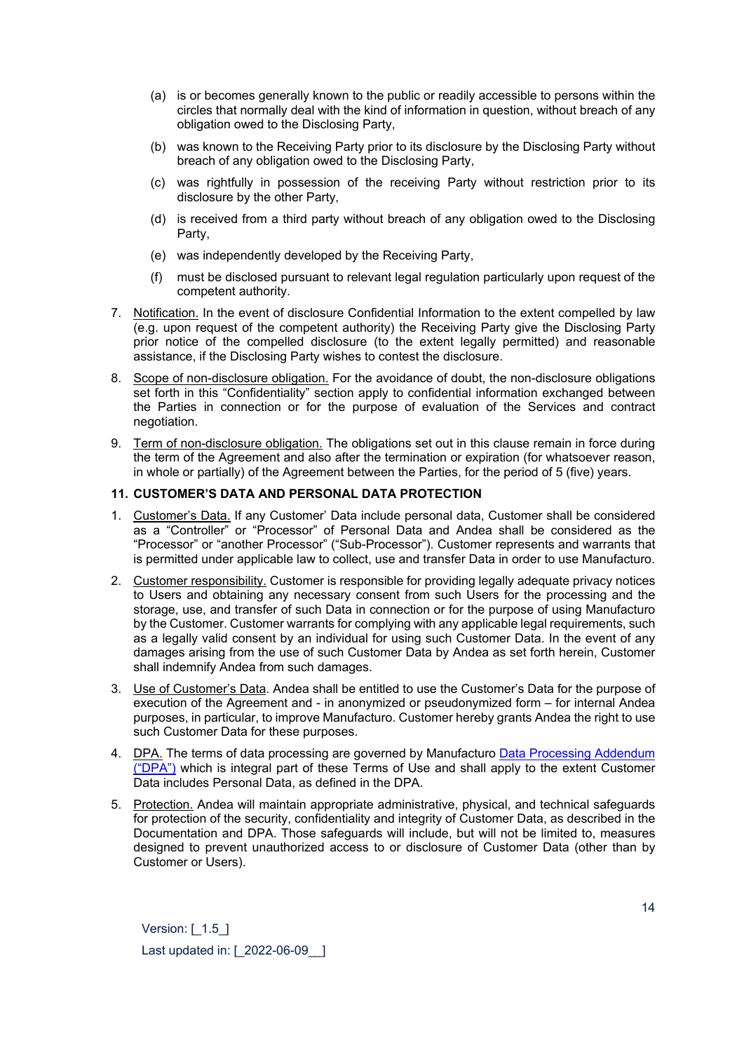- (a) is or becomes generally known to the public or readily accessible to persons within the circles that normally deal with the kind of information in question, without breach of any obligation owed to the Disclosing Party,
- (b) was known to the Receiving Party prior to its disclosure by the Disclosing Party without breach of any obligation owed to the Disclosing Party,
- (c) was rightfully in possession of the receiving Party without restriction prior to its disclosure by the other Party,
- (d) is received from a third party without breach of any obligation owed to the Disclosing Party,
- (e) was independently developed by the Receiving Party,
- (f) must be disclosed pursuant to relevant legal regulation particularly upon request of the competent authority.
- 7. Notification. In the event of disclosure Confidential Information to the extent compelled by law (e.g. upon request of the competent authority) the Receiving Party give the Disclosing Party prior notice of the compelled disclosure (to the extent legally permitted) and reasonable assistance, if the Disclosing Party wishes to contest the disclosure.
- 8. Scope of non-disclosure obligation. For the avoidance of doubt, the non-disclosure obligations set forth in this "Confidentiality" section apply to confidential information exchanged between the Parties in connection or for the purpose of evaluation of the Services and contract negotiation.
- 9. Term of non-disclosure obligation. The obligations set out in this clause remain in force during the term of the Agreement and also after the termination or expiration (for whatsoever reason, in whole or partially) of the Agreement between the Parties, for the period of 5 (five) years.

## **11. CUSTOMER'S DATA AND PERSONAL DATA PROTECTION**

- 1. Customer's Data. If any Customer' Data include personal data, Customer shall be considered as a "Controller" or "Processor" of Personal Data and Andea shall be considered as the "Processor" or "another Processor" ("Sub-Processor"). Customer represents and warrants that is permitted under applicable law to collect, use and transfer Data in order to use Manufacturo.
- 2. Customer responsibility. Customer is responsible for providing legally adequate privacy notices to Users and obtaining any necessary consent from such Users for the processing and the storage, use, and transfer of such Data in connection or for the purpose of using Manufacturo by the Customer. Customer warrants for complying with any applicable legal requirements, such as a legally valid consent by an individual for using such Customer Data. In the event of any damages arising from the use of such Customer Data by Andea as set forth herein, Customer shall indemnify Andea from such damages.
- 3. Use of Customer's Data. Andea shall be entitled to use the Customer's Data for the purpose of execution of the Agreement and - in anonymized or pseudonymized form – for internal Andea purposes, in particular, to improve Manufacturo. Customer hereby grants Andea the right to use such Customer Data for these purposes.
- 4. DPA. The terms of data processing are governed by Manufacturo [Data Processing Addendum](https://manufacturo.com/wp-content/uploads/2021/11/DPA_v1.2_2019-11-26.pdf) [\("DPA"\)](https://manufacturo.com/wp-content/uploads/2021/11/DPA_v1.2_2019-11-26.pdf) which is integral part of these Terms of Use and shall apply to the extent Customer Data includes Personal Data, as defined in the DPA.
- 5. Protection. Andea will maintain appropriate administrative, physical, and technical safeguards for protection of the security, confidentiality and integrity of Customer Data, as described in the Documentation and DPA. Those safeguards will include, but will not be limited to, measures designed to prevent unauthorized access to or disclosure of Customer Data (other than by Customer or Users).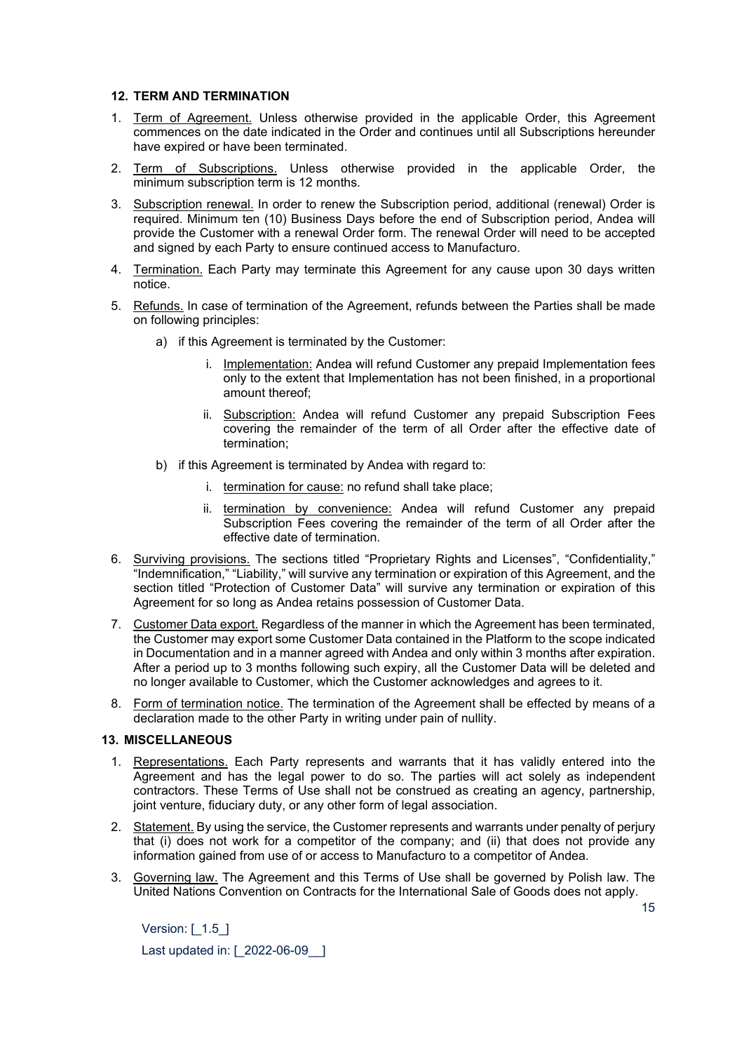#### **12. TERM AND TERMINATION**

- 1. Term of Agreement. Unless otherwise provided in the applicable Order, this Agreement commences on the date indicated in the Order and continues until all Subscriptions hereunder have expired or have been terminated.
- 2. Term of Subscriptions. Unless otherwise provided in the applicable Order, the minimum subscription term is 12 months.
- 3. Subscription renewal. In order to renew the Subscription period, additional (renewal) Order is required. Minimum ten (10) Business Days before the end of Subscription period, Andea will provide the Customer with a renewal Order form. The renewal Order will need to be accepted and signed by each Party to ensure continued access to Manufacturo.
- 4. Termination. Each Party may terminate this Agreement for any cause upon 30 days written notice.
- 5. Refunds. In case of termination of the Agreement, refunds between the Parties shall be made on following principles:
	- a) if this Agreement is terminated by the Customer:
		- i. Implementation: Andea will refund Customer any prepaid Implementation fees only to the extent that Implementation has not been finished, in a proportional amount thereof;
		- ii. Subscription: Andea will refund Customer any prepaid Subscription Fees covering the remainder of the term of all Order after the effective date of termination;
	- b) if this Agreement is terminated by Andea with regard to:
		- i. termination for cause: no refund shall take place;
		- ii. termination by convenience: Andea will refund Customer any prepaid Subscription Fees covering the remainder of the term of all Order after the effective date of termination.
- 6. Surviving provisions. The sections titled "Proprietary Rights and Licenses", "Confidentiality," "Indemnification," "Liability," will survive any termination or expiration of this Agreement, and the section titled "Protection of Customer Data" will survive any termination or expiration of this Agreement for so long as Andea retains possession of Customer Data.
- 7. Customer Data export. Regardless of the manner in which the Agreement has been terminated, the Customer may export some Customer Data contained in the Platform to the scope indicated in Documentation and in a manner agreed with Andea and only within 3 months after expiration. After a period up to 3 months following such expiry, all the Customer Data will be deleted and no longer available to Customer, which the Customer acknowledges and agrees to it.
- 8. Form of termination notice. The termination of the Agreement shall be effected by means of a declaration made to the other Party in writing under pain of nullity.

## **13. MISCELLANEOUS**

- 1. Representations. Each Party represents and warrants that it has validly entered into the Agreement and has the legal power to do so. The parties will act solely as independent contractors. These Terms of Use shall not be construed as creating an agency, partnership, joint venture, fiduciary duty, or any other form of legal association.
- 2. Statement. By using the service, the Customer represents and warrants under penalty of perjury that (i) does not work for a competitor of the company; and (ii) that does not provide any information gained from use of or access to Manufacturo to a competitor of Andea.
- 3. Governing law. The Agreement and this Terms of Use shall be governed by Polish law. The United Nations Convention on Contracts for the International Sale of Goods does not apply.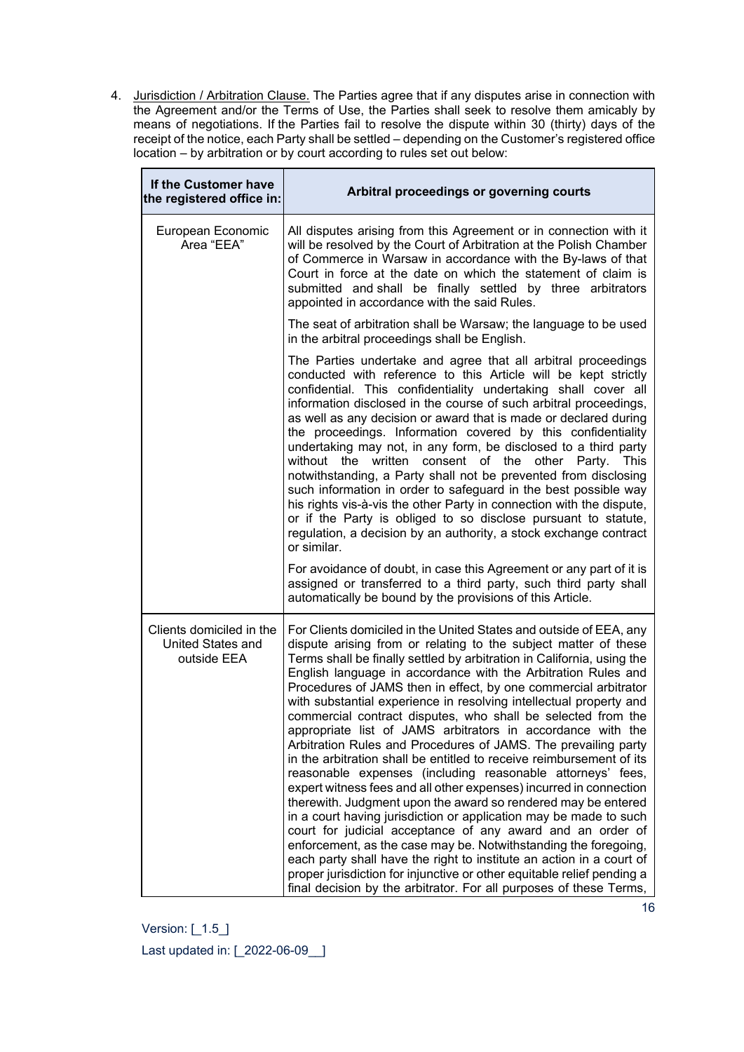4. Jurisdiction / Arbitration Clause. The Parties agree that if any disputes arise in connection with the Agreement and/or the Terms of Use, the Parties shall seek to resolve them amicably by means of negotiations. If the Parties fail to resolve the dispute within 30 (thirty) days of the receipt of the notice, each Party shall be [settled – depending on the Customer's registered office](https://context.reverso.net/t%C5%82umaczenie/angielski-polski/settled+by)  [location – by](https://context.reverso.net/t%C5%82umaczenie/angielski-polski/settled+by) arbitration or by court according to rules set out below:

| If the Customer have<br>the registered office in:            | Arbitral proceedings or governing courts                                                                                                                                                                                                                                                                                                                                                                                                                                                                                                                                                                                                                                                                                                                                                                                                                                                                                                                                                                                                                                                                                                                                                                                                                                                                                              |
|--------------------------------------------------------------|---------------------------------------------------------------------------------------------------------------------------------------------------------------------------------------------------------------------------------------------------------------------------------------------------------------------------------------------------------------------------------------------------------------------------------------------------------------------------------------------------------------------------------------------------------------------------------------------------------------------------------------------------------------------------------------------------------------------------------------------------------------------------------------------------------------------------------------------------------------------------------------------------------------------------------------------------------------------------------------------------------------------------------------------------------------------------------------------------------------------------------------------------------------------------------------------------------------------------------------------------------------------------------------------------------------------------------------|
| European Economic<br>Area "EEA"                              | All disputes arising from this Agreement or in connection with it<br>will be resolved by the Court of Arbitration at the Polish Chamber<br>of Commerce in Warsaw in accordance with the By-laws of that<br>Court in force at the date on which the statement of claim is<br>submitted and shall be finally settled by three arbitrators<br>appointed in accordance with the said Rules.                                                                                                                                                                                                                                                                                                                                                                                                                                                                                                                                                                                                                                                                                                                                                                                                                                                                                                                                               |
|                                                              | The seat of arbitration shall be Warsaw; the language to be used<br>in the arbitral proceedings shall be English.                                                                                                                                                                                                                                                                                                                                                                                                                                                                                                                                                                                                                                                                                                                                                                                                                                                                                                                                                                                                                                                                                                                                                                                                                     |
|                                                              | The Parties undertake and agree that all arbitral proceedings<br>conducted with reference to this Article will be kept strictly<br>confidential. This confidentiality undertaking shall cover all<br>information disclosed in the course of such arbitral proceedings,<br>as well as any decision or award that is made or declared during<br>the proceedings. Information covered by this confidentiality<br>undertaking may not, in any form, be disclosed to a third party<br>without the written<br>consent of the<br>other Party.<br><b>This</b><br>notwithstanding, a Party shall not be prevented from disclosing<br>such information in order to safeguard in the best possible way<br>his rights vis-à-vis the other Party in connection with the dispute,<br>or if the Party is obliged to so disclose pursuant to statute,<br>regulation, a decision by an authority, a stock exchange contract<br>or similar.                                                                                                                                                                                                                                                                                                                                                                                                             |
|                                                              | For avoidance of doubt, in case this Agreement or any part of it is<br>assigned or transferred to a third party, such third party shall<br>automatically be bound by the provisions of this Article.                                                                                                                                                                                                                                                                                                                                                                                                                                                                                                                                                                                                                                                                                                                                                                                                                                                                                                                                                                                                                                                                                                                                  |
| Clients domiciled in the<br>United States and<br>outside EEA | For Clients domiciled in the United States and outside of EEA, any<br>dispute arising from or relating to the subject matter of these<br>Terms shall be finally settled by arbitration in California, using the<br>English language in accordance with the Arbitration Rules and<br>Procedures of JAMS then in effect, by one commercial arbitrator<br>with substantial experience in resolving intellectual property and<br>commercial contract disputes, who shall be selected from the<br>appropriate list of JAMS arbitrators in accordance with the<br>Arbitration Rules and Procedures of JAMS. The prevailing party<br>in the arbitration shall be entitled to receive reimbursement of its<br>reasonable expenses (including reasonable attorneys' fees,<br>expert witness fees and all other expenses) incurred in connection<br>therewith. Judgment upon the award so rendered may be entered<br>in a court having jurisdiction or application may be made to such<br>court for judicial acceptance of any award and an order of<br>enforcement, as the case may be. Notwithstanding the foregoing,<br>each party shall have the right to institute an action in a court of<br>proper jurisdiction for injunctive or other equitable relief pending a<br>final decision by the arbitrator. For all purposes of these Terms, |

 $\mathbf{r}$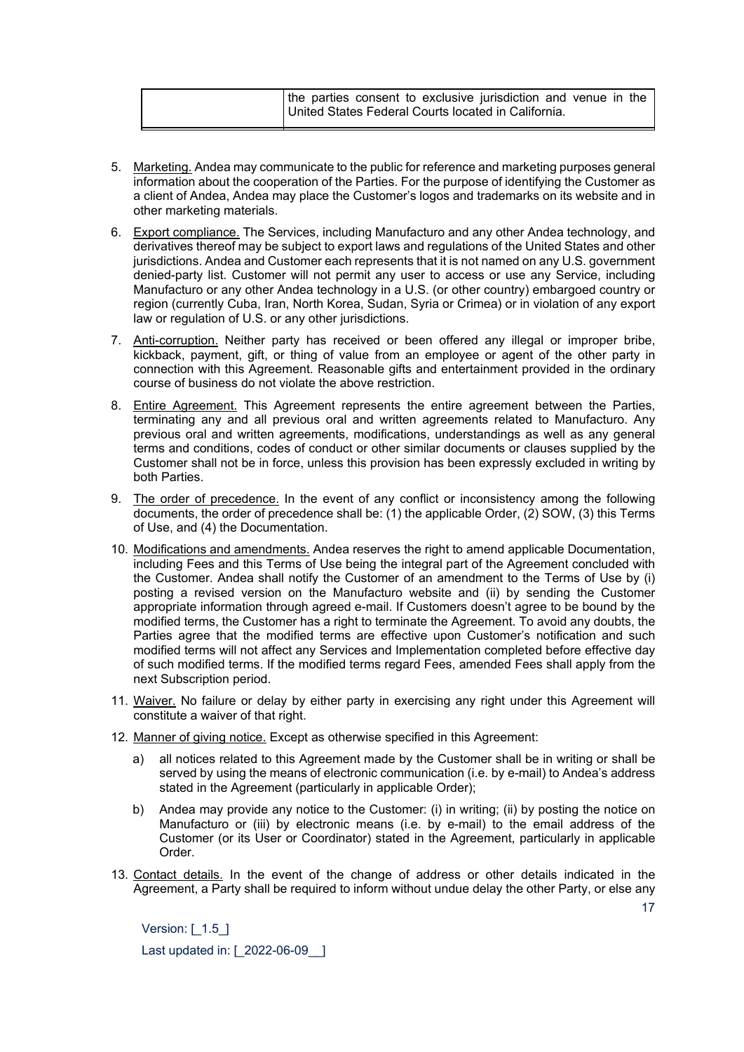| the parties consent to exclusive jurisdiction and venue in the |
|----------------------------------------------------------------|
| United States Federal Courts located in California.            |

- 5. Marketing. Andea may communicate to the public for reference and marketing purposes general information about the cooperation of the Parties. For the purpose of identifying the Customer as a client of Andea, Andea may place the Customer's logos and trademarks on its website and in other marketing materials.
- 6. Export compliance. The Services, including Manufacturo and any other Andea technology, and derivatives thereof may be subject to export laws and regulations of the United States and other jurisdictions. Andea and Customer each represents that it is not named on any U.S. government denied-party list. Customer will not permit any user to access or use any Service, including Manufacturo or any other Andea technology in a U.S. (or other country) embargoed country or region (currently Cuba, Iran, North Korea, Sudan, Syria or Crimea) or in violation of any export law or regulation of U.S. or any other jurisdictions.
- 7. Anti-corruption. Neither party has received or been offered any illegal or improper bribe, kickback, payment, gift, or thing of value from an employee or agent of the other party in connection with this Agreement. Reasonable gifts and entertainment provided in the ordinary course of business do not violate the above restriction.
- 8. Entire Agreement. This Agreement represents the entire agreement between the Parties, terminating any and all previous oral and written agreements related to Manufacturo. Any previous oral and written agreements, modifications, understandings as well as any general terms and conditions, codes of conduct or other similar documents or clauses supplied by the Customer shall not be in force, unless this provision has been expressly excluded in writing by both Parties.
- 9. The order of precedence. In the event of any conflict or inconsistency among the following documents, the order of precedence shall be:  $(1)$  the applicable Order,  $(2)$  SOW,  $(3)$  this Terms of Use, and (4) the Documentation.
- 10. Modifications and amendments. Andea reserves the right to amend applicable Documentation, including Fees and this Terms of Use being the integral part of the Agreement concluded with the Customer. Andea shall notify the Customer of an amendment to the Terms of Use by (i) posting a revised version on the Manufacturo website and (ii) by sending the Customer appropriate information through agreed e-mail. If Customers doesn't agree to be bound by the modified terms, the Customer has a right to terminate the Agreement. To avoid any doubts, the Parties agree that the modified terms are effective upon Customer's notification and such modified terms will not affect any Services and Implementation completed before effective day of such modified terms. If the modified terms regard Fees, amended Fees shall apply from the next Subscription period.
- 11. Waiver. No failure or delay by either party in exercising any right under this Agreement will constitute a waiver of that right.
- 12. Manner of giving notice. Except as otherwise specified in this Agreement:
	- a) all notices related to this Agreement made by the Customer shall be in writing or shall be served by using the means of electronic communication (i.e. by e-mail) to Andea's address stated in the Agreement (particularly in applicable Order);
	- b) Andea may provide any notice to the Customer: (i) in writing; (ii) by posting the notice on Manufacturo or (iii) by electronic means (i.e. by e-mail) to the email address of the Customer (or its User or Coordinator) stated in the Agreement, particularly in applicable Order.
- 13. Contact details. In the event of the change of address or other details indicated in the Agreement, a Party shall be required to inform without undue delay the other Party, or else any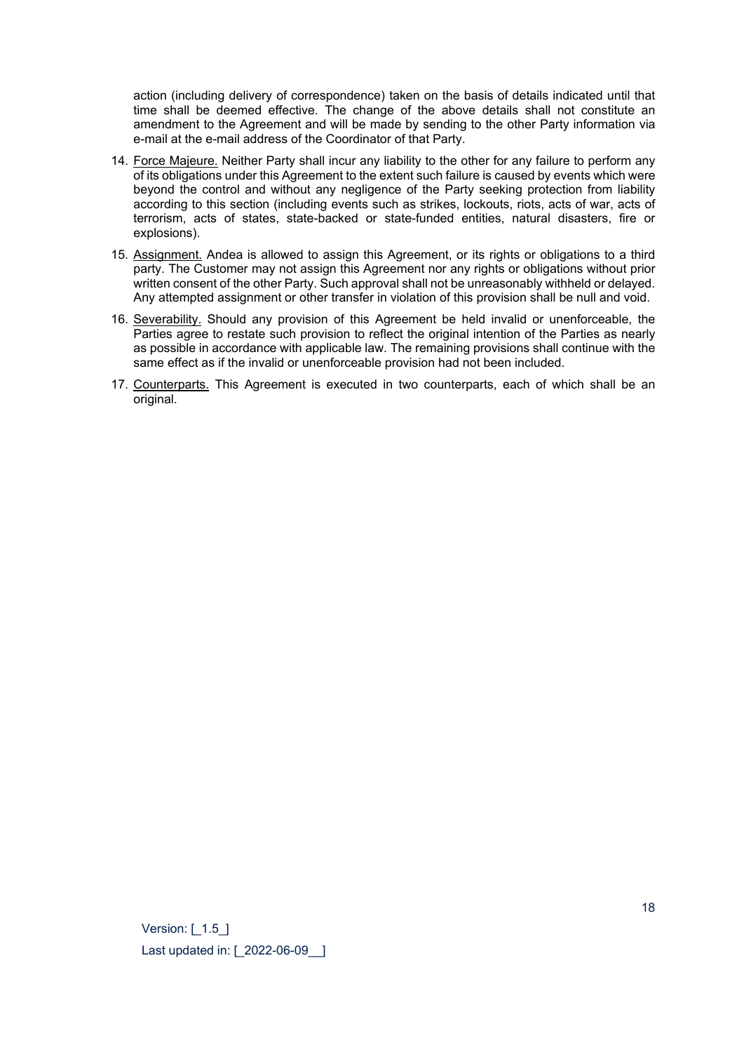action (including delivery of correspondence) taken on the basis of details indicated until that time shall be deemed effective. The change of the above details shall not constitute an amendment to the Agreement and will be made by sending to the other Party information via e-mail at the e-mail address of the Coordinator of that Party.

- 14. Force Majeure. Neither Party shall incur any liability to the other for any failure to perform any of its obligations under this Agreement to the extent such failure is caused by events which were beyond the control and without any negligence of the Party seeking protection from liability according to this section (including events such as strikes, lockouts, riots, acts of war, acts of terrorism, acts of states, state-backed or state-funded entities, natural disasters, fire or explosions).
- 15. Assignment. Andea is allowed to assign this Agreement, or its rights or obligations to a third party. The Customer may not assign this Agreement nor any rights or obligations without prior written consent of the other Party. Such approval shall not be unreasonably withheld or delayed. Any attempted assignment or other transfer in violation of this provision shall be null and void.
- 16. Severability. Should any provision of this Agreement be held invalid or unenforceable, the Parties agree to restate such provision to reflect the original intention of the Parties as nearly as possible in accordance with applicable law. The remaining provisions shall continue with the same effect as if the invalid or unenforceable provision had not been included.
- 17. Counterparts. This Agreement is executed in two counterparts, each of which shall be an original.